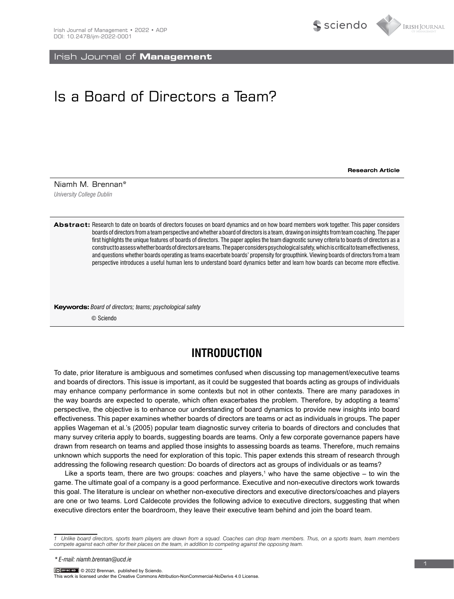Irish Journal of **Management**

# Is a Board of Directors a Team?

**Research Article**

Siciendo

IRISH JOURNAL

*University College Dublin* Niamh M. Brennan\*

Abstract: Research to date on boards of directors focuses on board dynamics and on how board members work together. This paper considers boards of directors from a team perspective and whether a board of directors is a team, drawing on insights from team coaching. The paper first highlights the unique features of boards of directors. The paper applies the team diagnostic survey criteria to boards of directors as a construct to assess whether boards of directors are teams. The paper considers psychological safety, which is critical to team effectiveness, and questions whether boards operating as teams exacerbate boards' propensity for groupthink. Viewing boards of directors from a team perspective introduces a useful human lens to understand board dynamics better and learn how boards can become more effective.

**Keywords:** *Board of directors; teams; psychological safety*

© Sciendo

# **INTRODUCTION**

To date, prior literature is ambiguous and sometimes confused when discussing top management/executive teams and boards of directors. This issue is important, as it could be suggested that boards acting as groups of individuals may enhance company performance in some contexts but not in other contexts. There are many paradoxes in the way boards are expected to operate, which often exacerbates the problem. Therefore, by adopting a teams' perspective, the objective is to enhance our understanding of board dynamics to provide new insights into board effectiveness. This paper examines whether boards of directors are teams or act as individuals in groups. The paper applies Wageman et al.'s (2005) popular team diagnostic survey criteria to boards of directors and concludes that many survey criteria apply to boards, suggesting boards are teams. Only a few corporate governance papers have drawn from research on teams and applied those insights to assessing boards as teams. Therefore, much remains unknown which supports the need for exploration of this topic. This paper extends this stream of research through addressing the following research question: Do boards of directors act as groups of individuals or as teams?

Like a sports team, there are two groups: coaches and players,<sup>1</sup> who have the same objective – to win the game. The ultimate goal of a company is a good performance. Executive and non-executive directors work towards this goal. The literature is unclear on whether non-executive directors and executive directors/coaches and players are one or two teams. Lord Caldecote provides the following advice to executive directors, suggesting that when executive directors enter the boardroom, they leave their executive team behind and join the board team.

© 2022 Brennan, published by Sciendo. This work is licensed under the Creative Commons Attribution-NonCommercial-NoDerivs 4.0 License.

*<sup>1</sup> Unlike board directors, sports team players are drawn from a squad. Coaches can drop team members. Thus, on a sports team, team members compete against each other for their places on the team, in addition to competing against the opposing team.*

*<sup>\*</sup> E-mail: niamh.brennan@ucd.ie*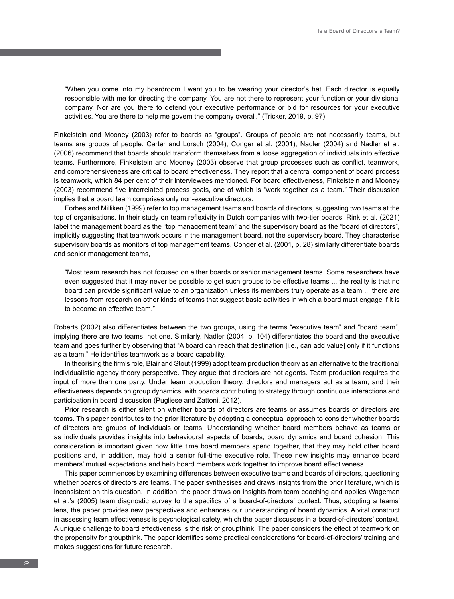"When you come into my boardroom I want you to be wearing your director's hat. Each director is equally responsible with me for directing the company. You are not there to represent your function or your divisional company. Nor are you there to defend your executive performance or bid for resources for your executive activities. You are there to help me govern the company overall." (Tricker, 2019, p. 97)

Finkelstein and Mooney (2003) refer to boards as "groups". Groups of people are not necessarily teams, but teams are groups of people. Carter and Lorsch (2004), Conger et al. (2001), Nadler (2004) and Nadler et al. (2006) recommend that boards should transform themselves from a loose aggregation of individuals into effective teams. Furthermore, Finkelstein and Mooney (2003) observe that group processes such as conflict, teamwork, and comprehensiveness are critical to board effectiveness. They report that a central component of board process is teamwork, which 84 per cent of their interviewees mentioned. For board effectiveness, Finkelstein and Mooney (2003) recommend five interrelated process goals, one of which is "work together as a team." Their discussion implies that a board team comprises only non-executive directors.

Forbes and Milliken (1999) refer to top management teams and boards of directors, suggesting two teams at the top of organisations. In their study on team reflexivity in Dutch companies with two-tier boards, Rink et al. (2021) label the management board as the "top management team" and the supervisory board as the "board of directors", implicitly suggesting that teamwork occurs in the management board, not the supervisory board. They characterise supervisory boards as monitors of top management teams. Conger et al. (2001, p. 28) similarly differentiate boards and senior management teams,

"Most team research has not focused on either boards or senior management teams. Some researchers have even suggested that it may never be possible to get such groups to be effective teams ... the reality is that no board can provide significant value to an organization unless its members truly operate as a team ... there are lessons from research on other kinds of teams that suggest basic activities in which a board must engage if it is to become an effective team."

Roberts (2002) also differentiates between the two groups, using the terms "executive team" and "board team", implying there are two teams, not one. Similarly, Nadler (2004, p. 104) differentiates the board and the executive team and goes further by observing that "A board can reach that destination [i.e., can add value] only if it functions as a team." He identifies teamwork as a board capability.

In theorising the firm's role, Blair and Stout (1999) adopt team production theory as an alternative to the traditional individualistic agency theory perspective. They argue that directors are not agents. Team production requires the input of more than one party. Under team production theory, directors and managers act as a team, and their effectiveness depends on group dynamics, with boards contributing to strategy through continuous interactions and participation in board discussion (Pugliese and Zattoni, 2012).

Prior research is either silent on whether boards of directors are teams or assumes boards of directors are teams. This paper contributes to the prior literature by adopting a conceptual approach to consider whether boards of directors are groups of individuals or teams. Understanding whether board members behave as teams or as individuals provides insights into behavioural aspects of boards, board dynamics and board cohesion. This consideration is important given how little time board members spend together, that they may hold other board positions and, in addition, may hold a senior full-time executive role. These new insights may enhance board members' mutual expectations and help board members work together to improve board effectiveness.

This paper commences by examining differences between executive teams and boards of directors, questioning whether boards of directors are teams. The paper synthesises and draws insights from the prior literature, which is inconsistent on this question. In addition, the paper draws on insights from team coaching and applies Wageman et al.'s (2005) team diagnostic survey to the specifics of a board-of-directors' context. Thus, adopting a teams' lens, the paper provides new perspectives and enhances our understanding of board dynamics. A vital construct in assessing team effectiveness is psychological safety, which the paper discusses in a board-of-directors' context. A unique challenge to board effectiveness is the risk of groupthink. The paper considers the effect of teamwork on the propensity for groupthink. The paper identifies some practical considerations for board-of-directors' training and makes suggestions for future research.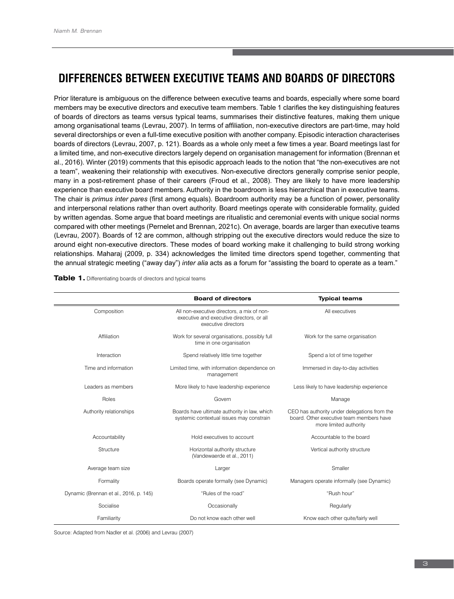# **DIFFERENCES BETWEEN EXECUTIVE TEAMS AND BOARDS OF DIRECTORS**

Prior literature is ambiguous on the difference between executive teams and boards, especially where some board members may be executive directors and executive team members. Table 1 clarifies the key distinguishing features of boards of directors as teams versus typical teams, summarises their distinctive features, making them unique among organisational teams (Levrau, 2007). In terms of affiliation, non-executive directors are part-time, may hold several directorships or even a full-time executive position with another company. Episodic interaction characterises boards of directors (Levrau, 2007, p. 121). Boards as a whole only meet a few times a year. Board meetings last for a limited time, and non-executive directors largely depend on organisation management for information (Brennan et al., 2016). Winter (2019) comments that this episodic approach leads to the notion that "the non-executives are not a team", weakening their relationship with executives. Non-executive directors generally comprise senior people, many in a post-retirement phase of their careers (Froud et al., 2008). They are likely to have more leadership experience than executive board members. Authority in the boardroom is less hierarchical than in executive teams. The chair is *primus inter pares* (first among equals). Boardroom authority may be a function of power, personality and interpersonal relations rather than overt authority. Board meetings operate with considerable formality, guided by written agendas. Some argue that board meetings are ritualistic and ceremonial events with unique social norms compared with other meetings (Pernelet and Brennan, 2021c). On average, boards are larger than executive teams (Levrau, 2007). Boards of 12 are common, although stripping out the executive directors would reduce the size to around eight non-executive directors. These modes of board working make it challenging to build strong working relationships. Maharaj (2009, p. 334) acknowledges the limited time directors spend together, commenting that the annual strategic meeting ("away day") *inter alia* acts as a forum for "assisting the board to operate as a team."

|                                        | <b>Board of directors</b>                                                                                      | <b>Typical teams</b>                                                                                               |
|----------------------------------------|----------------------------------------------------------------------------------------------------------------|--------------------------------------------------------------------------------------------------------------------|
| Composition                            | All non-executive directors, a mix of non-<br>executive and executive directors, or all<br>executive directors | All executives                                                                                                     |
| Affiliation                            | Work for several organisations, possibly full<br>time in one organisation                                      | Work for the same organisation                                                                                     |
| Interaction                            | Spend relatively little time together                                                                          | Spend a lot of time together                                                                                       |
| Time and information                   | Limited time, with information dependence on<br>management                                                     | Immersed in day-to-day activities                                                                                  |
| Leaders as members                     | More likely to have leadership experience                                                                      | Less likely to have leadership experience                                                                          |
| Roles                                  | Govern                                                                                                         | Manage                                                                                                             |
| Authority relationships                | Boards have ultimate authority in law, which<br>systemic contextual issues may constrain                       | CEO has authority under delegations from the<br>board. Other executive team members have<br>more limited authority |
| Accountability                         | Hold executives to account                                                                                     | Accountable to the board                                                                                           |
| Structure                              | Horizontal authority structure<br>(Vandewaerde et al., 2011)                                                   | Vertical authority structure                                                                                       |
| Average team size                      | Larger                                                                                                         | Smaller                                                                                                            |
| Formality                              | Boards operate formally (see Dynamic)                                                                          | Managers operate informally (see Dynamic)                                                                          |
| Dynamic (Brennan et al., 2016, p. 145) | "Rules of the road"                                                                                            | "Rush hour"                                                                                                        |
| Socialise                              | Occasionally                                                                                                   | Regularly                                                                                                          |
| Familiarity                            | Do not know each other well                                                                                    | Know each other quite/fairly well                                                                                  |

**Table 1.** Differentiating boards of directors and typical teams

Source: Adapted from Nadler et al. (2006) and Levrau (2007)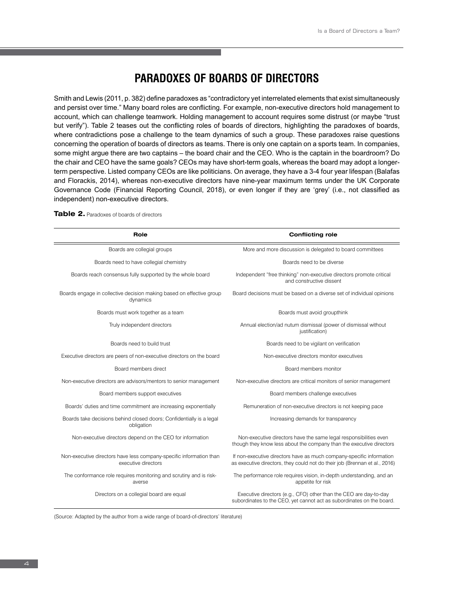# **PARADOXES OF BOARDS OF DIRECTORS**

Smith and Lewis (2011, p. 382) define paradoxes as "contradictory yet interrelated elements that exist simultaneously and persist over time." Many board roles are conflicting. For example, non-executive directors hold management to account, which can challenge teamwork. Holding management to account requires some distrust (or maybe "trust but verify"). Table 2 teases out the conflicting roles of boards of directors, highlighting the paradoxes of boards, where contradictions pose a challenge to the team dynamics of such a group. These paradoxes raise questions concerning the operation of boards of directors as teams. There is only one captain on a sports team. In companies, some might argue there are two captains – the board chair and the CEO. Who is the captain in the boardroom? Do the chair and CEO have the same goals? CEOs may have short-term goals, whereas the board may adopt a longerterm perspective. Listed company CEOs are like politicians. On average, they have a 3-4 four year lifespan (Balafas and Florackis, 2014), whereas non-executive directors have nine-year maximum terms under the UK Corporate Governance Code (Financial Reporting Council, 2018), or even longer if they are 'grey' (i.e., not classified as independent) non-executive directors.

| Role                                                                                       | <b>Conflicting role</b>                                                                                                                            |
|--------------------------------------------------------------------------------------------|----------------------------------------------------------------------------------------------------------------------------------------------------|
| Boards are collegial groups                                                                | More and more discussion is delegated to board committees                                                                                          |
| Boards need to have collegial chemistry                                                    | Boards need to be diverse                                                                                                                          |
| Boards reach consensus fully supported by the whole board                                  | Independent "free thinking" non-executive directors promote critical<br>and constructive dissent                                                   |
| Boards engage in collective decision making based on effective group<br>dynamics           | Board decisions must be based on a diverse set of individual opinions                                                                              |
| Boards must work together as a team                                                        | Boards must avoid groupthink                                                                                                                       |
| Truly independent directors                                                                | Annual election/ad nutum dismissal (power of dismissal without<br>justification)                                                                   |
| Boards need to build trust                                                                 | Boards need to be vigilant on verification                                                                                                         |
| Executive directors are peers of non-executive directors on the board                      | Non-executive directors monitor executives                                                                                                         |
| Board members direct                                                                       | Board members monitor                                                                                                                              |
| Non-executive directors are advisors/mentors to senior management                          | Non-executive directors are critical monitors of senior management                                                                                 |
| Board members support executives                                                           | Board members challenge executives                                                                                                                 |
| Boards' duties and time commitment are increasing exponentially                            | Remuneration of non-executive directors is not keeping pace                                                                                        |
| Boards take decisions behind closed doors; Confidentially is a legal<br>obligation         | Increasing demands for transparency                                                                                                                |
| Non-executive directors depend on the CEO for information                                  | Non-executive directors have the same legal responsibilities even<br>though they know less about the company than the executive directors          |
| Non-executive directors have less company-specific information than<br>executive directors | If non-executive directors have as much company-specific information<br>as executive directors, they could not do their job (Brennan et al., 2016) |
| The conformance role requires monitoring and scrutiny and is risk-<br>averse               | The performance role requires vision, in-depth understanding, and an<br>appetite for risk                                                          |
| Directors on a collegial board are equal                                                   | Executive directors (e.g., CFO) other than the CEO are day-to-day<br>subordinates to the CEO, yet cannot act as subordinates on the board.         |

**Table 2.** Paradoxes of boards of directors

(Source: Adapted by the author from a wide range of board-of-directors' literature)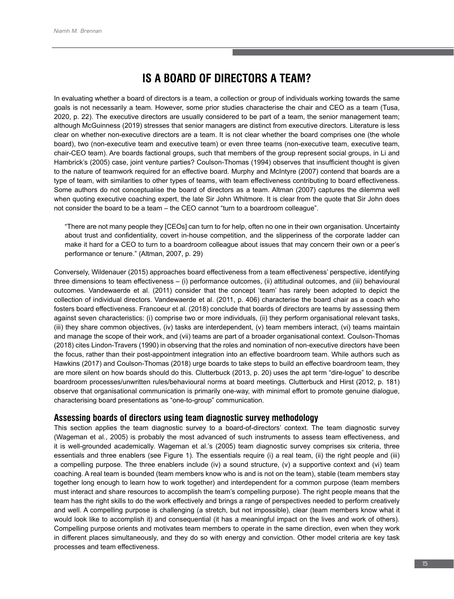# **IS A BOARD OF DIRECTORS A TEAM?**

In evaluating whether a board of directors is a team, a collection or group of individuals working towards the same goals is not necessarily a team. However, some prior studies characterise the chair and CEO as a team (Tusa, 2020, p. 22). The executive directors are usually considered to be part of a team, the senior management team; although McGuinness (2019) stresses that senior managers are distinct from executive directors. Literature is less clear on whether non-executive directors are a team. It is not clear whether the board comprises one (the whole board), two (non-executive team and executive team) or even three teams (non-executive team, executive team, chair-CEO team). Are boards factional groups, such that members of the group represent social groups, in Li and Hambrick's (2005) case, joint venture parties? Coulson-Thomas (1994) observes that insufficient thought is given to the nature of teamwork required for an effective board. Murphy and McIntyre (2007) contend that boards are a type of team, with similarities to other types of teams, with team effectiveness contributing to board effectiveness. Some authors do not conceptualise the board of directors as a team. Altman (2007) captures the dilemma well when quoting executive coaching expert, the late Sir John Whitmore. It is clear from the quote that Sir John does not consider the board to be a team – the CEO cannot "turn to a boardroom colleague".

"There are not many people they [CEOs] can turn to for help, often no one in their own organisation. Uncertainty about trust and confidentiality, covert in-house competition, and the slipperiness of the corporate ladder can make it hard for a CEO to turn to a boardroom colleague about issues that may concern their own or a peer's performance or tenure." (Altman, 2007, p. 29)

Conversely, Wildenauer (2015) approaches board effectiveness from a team effectiveness' perspective, identifying three dimensions to team effectiveness – (i) performance outcomes, (ii) attitudinal outcomes, and (iii) behavioural outcomes. Vandewaerde et al. (2011) consider that the concept 'team' has rarely been adopted to depict the collection of individual directors. Vandewaerde et al. (2011, p. 406) characterise the board chair as a coach who fosters board effectiveness. Francoeur et al. (2018) conclude that boards of directors are teams by assessing them against seven characteristics: (i) comprise two or more individuals, (ii) they perform organisational relevant tasks, (iii) they share common objectives, (iv) tasks are interdependent, (v) team members interact, (vi) teams maintain and manage the scope of their work, and (vii) teams are part of a broader organisational context. Coulson-Thomas (2018) cites Lindon-Travers (1990) in observing that the roles and nomination of non-executive directors have been the focus, rather than their post-appointment integration into an effective boardroom team. While authors such as Hawkins (2017) and Coulson-Thomas (2018) urge boards to take steps to build an effective boardroom team, they are more silent on how boards should do this. Clutterbuck (2013, p. 20) uses the apt term "dire-logue" to describe boardroom processes/unwritten rules/behavioural norms at board meetings. Clutterbuck and Hirst (2012, p. 181) observe that organisational communication is primarily one-way, with minimal effort to promote genuine dialogue, characterising board presentations as "one-to-group" communication.

## **Assessing boards of directors using team diagnostic survey methodology**

This section applies the team diagnostic survey to a board-of-directors' context. The team diagnostic survey (Wageman et al., 2005) is probably the most advanced of such instruments to assess team effectiveness, and it is well-grounded academically. Wageman et al.'s (2005) team diagnostic survey comprises six criteria, three essentials and three enablers (see Figure 1). The essentials require (i) a real team, (ii) the right people and (iii) a compelling purpose. The three enablers include (iv) a sound structure, (v) a supportive context and (vi) team coaching. A real team is bounded (team members know who is and is not on the team), stable (team members stay together long enough to learn how to work together) and interdependent for a common purpose (team members must interact and share resources to accomplish the team's compelling purpose). The right people means that the team has the right skills to do the work effectively and brings a range of perspectives needed to perform creatively and well. A compelling purpose is challenging (a stretch, but not impossible), clear (team members know what it would look like to accomplish it) and consequential (it has a meaningful impact on the lives and work of others). Compelling purpose orients and motivates team members to operate in the same direction, even when they work in different places simultaneously, and they do so with energy and conviction. Other model criteria are key task processes and team effectiveness.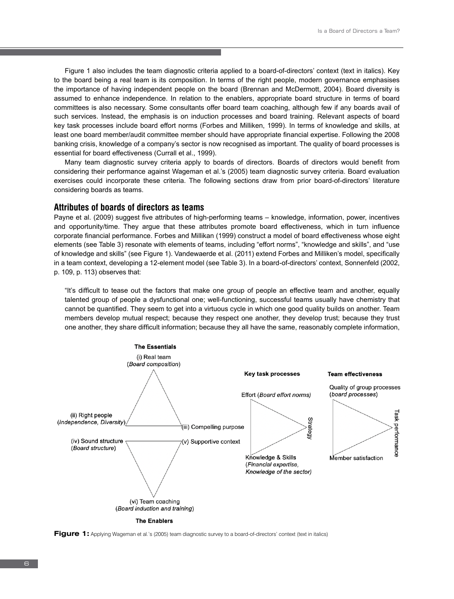Figure 1 also includes the team diagnostic criteria applied to a board-of-directors' context (text in italics). Key to the board being a real team is its composition. In terms of the right people, modern governance emphasises the importance of having independent people on the board (Brennan and McDermott, 2004). Board diversity is assumed to enhance independence. In relation to the enablers, appropriate board structure in terms of board committees is also necessary. Some consultants offer board team coaching, although few if any boards avail of such services. Instead, the emphasis is on induction processes and board training. Relevant aspects of board key task processes include board effort norms (Forbes and Milliken, 1999). In terms of knowledge and skills, at least one board member/audit committee member should have appropriate financial expertise. Following the 2008 banking crisis, knowledge of a company's sector is now recognised as important. The quality of board processes is essential for board effectiveness (Currall et al., 1999).

Many team diagnostic survey criteria apply to boards of directors. Boards of directors would benefit from considering their performance against Wageman et al.'s (2005) team diagnostic survey criteria. Board evaluation exercises could incorporate these criteria. The following sections draw from prior board-of-directors' literature considering boards as teams.

### **Attributes of boards of directors as teams**

Payne et al. (2009) suggest five attributes of high-performing teams – knowledge, information, power, incentives and opportunity/time. They argue that these attributes promote board effectiveness, which in turn influence corporate financial performance. Forbes and Millikan (1999) construct a model of board effectiveness whose eight elements (see Table 3) resonate with elements of teams, including "effort norms", "knowledge and skills", and "use of knowledge and skills" (see Figure 1). Vandewaerde et al. (2011) extend Forbes and Milliken's model, specifically in a team context, developing a 12-element model (see Table 3). In a board-of-directors' context, Sonnenfeld (2002, p. 109, p. 113) observes that:

"It's difficult to tease out the factors that make one group of people an effective team and another, equally talented group of people a dysfunctional one; well-functioning, successful teams usually have chemistry that cannot be quantified. They seem to get into a virtuous cycle in which one good quality builds on another. Team members develop mutual respect; because they respect one another, they develop trust; because they trust one another, they share difficult information; because they all have the same, reasonably complete information,



**Figure 1:** Applying Wageman et al.'s (2005) team diagnostic survey to a board-of-directors' context (text in italics)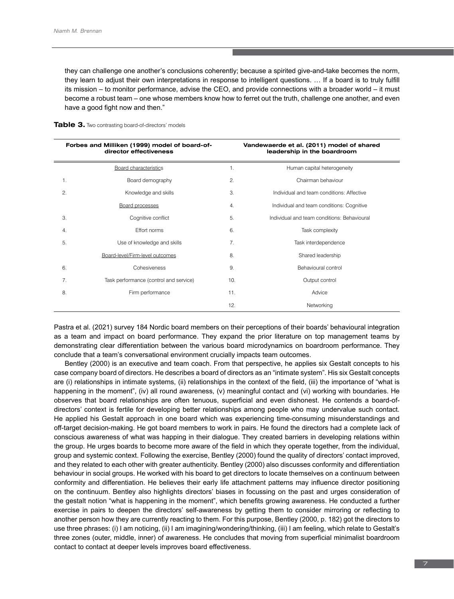they can challenge one another's conclusions coherently; because a spirited give-and-take becomes the norm, they learn to adjust their own interpretations in response to intelligent questions. … If a board is to truly fulfill its mission – to monitor performance, advise the CEO, and provide connections with a broader world – it must become a robust team – one whose members know how to ferret out the truth, challenge one another, and even have a good fight now and then."

|    | Forbes and Milliken (1999) model of board-of-<br>director effectiveness |                | Vandewaerde et al. (2011) model of shared<br>leadership in the boardroom |
|----|-------------------------------------------------------------------------|----------------|--------------------------------------------------------------------------|
|    | <b>Board characteristics</b>                                            | $\mathbf{1}$ . | Human capital heterogeneity                                              |
| 1. | Board demography                                                        | 2.             | Chairman behaviour                                                       |
| 2. | Knowledge and skills                                                    | 3.             | Individual and team conditions: Affective                                |
|    | <b>Board processes</b>                                                  | 4.             | Individual and team conditions: Cognitive                                |
| 3. | Cognitive conflict                                                      | 5.             | Individual and team conditions: Behavioural                              |
| 4. | Effort norms                                                            | 6.             | Task complexity                                                          |
| 5. | Use of knowledge and skills                                             | 7 <sub>1</sub> | Task interdependence                                                     |
|    | Board-level/Firm-level outcomes                                         | 8.             | Shared leadership                                                        |
| 6. | Cohesiveness                                                            | 9.             | Behavioural control                                                      |
| 7. | Task performance (control and service)                                  | 10.            | Output control                                                           |
| 8. | Firm performance                                                        | 11.            | Advice                                                                   |
|    |                                                                         | 12.            | Networking                                                               |

**Table 3.** Two contrasting board-of-directors' models

Pastra et al. (2021) survey 184 Nordic board members on their perceptions of their boards' behavioural integration as a team and impact on board performance. They expand the prior literature on top management teams by demonstrating clear differentiation between the various board microdynamics on boardroom performance. They conclude that a team's conversational environment crucially impacts team outcomes.

Bentley (2000) is an executive and team coach. From that perspective, he applies six Gestalt concepts to his case company board of directors. He describes a board of directors as an "intimate system". His six Gestalt concepts are (i) relationships in intimate systems, (ii) relationships in the context of the field, (iii) the importance of "what is happening in the moment", (iv) all round awareness, (v) meaningful contact and (vi) working with boundaries. He observes that board relationships are often tenuous, superficial and even dishonest. He contends a board-ofdirectors' context is fertile for developing better relationships among people who may undervalue such contact. He applied his Gestalt approach in one board which was experiencing time-consuming misunderstandings and off-target decision-making. He got board members to work in pairs. He found the directors had a complete lack of conscious awareness of what was happing in their dialogue. They created barriers in developing relations within the group. He urges boards to become more aware of the field in which they operate together, from the individual, group and systemic context. Following the exercise, Bentley (2000) found the quality of directors' contact improved, and they related to each other with greater authenticity. Bentley (2000) also discusses conformity and differentiation behaviour in social groups. He worked with his board to get directors to locate themselves on a continuum between conformity and differentiation. He believes their early life attachment patterns may influence director positioning on the continuum. Bentley also highlights directors' biases in focussing on the past and urges consideration of the gestalt notion "what is happening in the moment", which benefits growing awareness. He conducted a further exercise in pairs to deepen the directors' self-awareness by getting them to consider mirroring or reflecting to another person how they are currently reacting to them. For this purpose, Bentley (2000, p. 182) got the directors to use three phrases: (i) I am noticing, (ii) I am imagining/wondering/thinking, (iii) I am feeling, which relate to Gestalt's three zones (outer, middle, inner) of awareness. He concludes that moving from superficial minimalist boardroom contact to contact at deeper levels improves board effectiveness.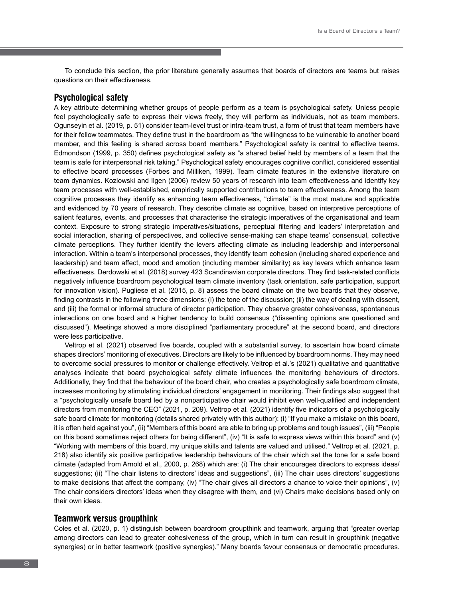To conclude this section, the prior literature generally assumes that boards of directors are teams but raises questions on their effectiveness.

#### **Psychological safety**

A key attribute determining whether groups of people perform as a team is psychological safety. Unless people feel psychologically safe to express their views freely, they will perform as individuals, not as team members. Ogunseyin et al. (2019, p. 51) consider team-level trust or intra-team trust, a form of trust that team members have for their fellow teammates. They define trust in the boardroom as "the willingness to be vulnerable to another board member, and this feeling is shared across board members." Psychological safety is central to effective teams. Edmondson (1999, p. 350) defines psychological safety as "a shared belief held by members of a team that the team is safe for interpersonal risk taking." Psychological safety encourages cognitive conflict, considered essential to effective board processes (Forbes and Milliken, 1999). Team climate features in the extensive literature on team dynamics. Kozlowski and Ilgen (2006) review 50 years of research into team effectiveness and identify key team processes with well-established, empirically supported contributions to team effectiveness. Among the team cognitive processes they identify as enhancing team effectiveness, "climate" is the most mature and applicable and evidenced by 70 years of research. They describe climate as cognitive, based on interpretive perceptions of salient features, events, and processes that characterise the strategic imperatives of the organisational and team context. Exposure to strong strategic imperatives/situations, perceptual filtering and leaders' interpretation and social interaction, sharing of perspectives, and collective sense-making can shape teams' consensual, collective climate perceptions. They further identify the levers affecting climate as including leadership and interpersonal interaction. Within a team's interpersonal processes, they identify team cohesion (including shared experience and leadership) and team affect, mood and emotion (including member similarity) as key levers which enhance team effectiveness. Derdowski et al. (2018) survey 423 Scandinavian corporate directors. They find task-related conflicts negatively influence boardroom psychological team climate inventory (task orientation, safe participation, support for innovation vision). Pugliese et al. (2015, p. 8) assess the board climate on the two boards that they observe, finding contrasts in the following three dimensions: (i) the tone of the discussion; (ii) the way of dealing with dissent, and (iii) the formal or informal structure of director participation. They observe greater cohesiveness, spontaneous interactions on one board and a higher tendency to build consensus ("dissenting opinions are questioned and discussed"). Meetings showed a more disciplined "parliamentary procedure" at the second board, and directors were less participative.

Veltrop et al. (2021) observed five boards, coupled with a substantial survey, to ascertain how board climate shapes directors' monitoring of executives. Directors are likely to be influenced by boardroom norms. They may need to overcome social pressures to monitor or challenge effectively. Veltrop et al*.*'s (2021) qualitative and quantitative analyses indicate that board psychological safety climate influences the monitoring behaviours of directors. Additionally, they find that the behaviour of the board chair, who creates a psychologically safe boardroom climate, increases monitoring by stimulating individual directors' engagement in monitoring. Their findings also suggest that a "psychologically unsafe board led by a nonparticipative chair would inhibit even well-qualified and independent directors from monitoring the CEO" (2021, p. 209). Veltrop et al*.* (2021) identify five indicators of a psychologically safe board climate for monitoring (details shared privately with this author): (i) "If you make a mistake on this board, it is often held against you", (ii) "Members of this board are able to bring up problems and tough issues", (iii) "People on this board sometimes reject others for being different", (iv) "It is safe to express views within this board" and (v) "Working with members of this board, my unique skills and talents are valued and utilised." Veltrop et al*.* (2021, p. 218) also identify six positive participative leadership behaviours of the chair which set the tone for a safe board climate (adapted from Arnold et al., 2000, p. 268) which are: (i) The chair encourages directors to express ideas/ suggestions; (ii) "The chair listens to directors' ideas and suggestions", (iii) The chair uses directors' suggestions to make decisions that affect the company, (iv) "The chair gives all directors a chance to voice their opinions", (v) The chair considers directors' ideas when they disagree with them, and (vi) Chairs make decisions based only on their own ideas.

# **Teamwork versus groupthink**

Coles et al. (2020, p. 1) distinguish between boardroom groupthink and teamwork, arguing that "greater overlap among directors can lead to greater cohesiveness of the group, which in turn can result in groupthink (negative synergies) or in better teamwork (positive synergies)." Many boards favour consensus or democratic procedures.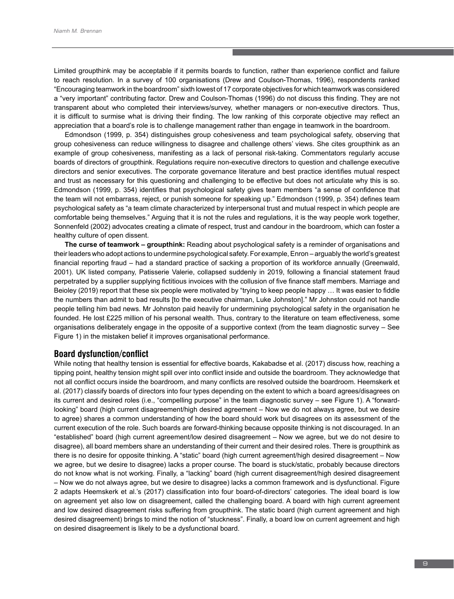Limited groupthink may be acceptable if it permits boards to function, rather than experience conflict and failure to reach resolution. In a survey of 100 organisations (Drew and Coulson-Thomas, 1996), respondents ranked "Encouraging teamwork in the boardroom" sixth lowest of 17 corporate objectives for which teamwork was considered a "very important" contributing factor. Drew and Coulson-Thomas (1996) do not discuss this finding. They are not transparent about who completed their interviews/survey, whether managers or non-executive directors. Thus, it is difficult to surmise what is driving their finding. The low ranking of this corporate objective may reflect an appreciation that a board's role is to challenge management rather than engage in teamwork in the boardroom.

Edmondson (1999, p. 354) distinguishes group cohesiveness and team psychological safety, observing that group cohesiveness can reduce willingness to disagree and challenge others' views. She cites groupthink as an example of group cohesiveness, manifesting as a lack of personal risk-taking. Commentators regularly accuse boards of directors of groupthink. Regulations require non-executive directors to question and challenge executive directors and senior executives. The corporate governance literature and best practice identifies mutual respect and trust as necessary for this questioning and challenging to be effective but does not articulate why this is so. Edmondson (1999, p. 354) identifies that psychological safety gives team members "a sense of confidence that the team will not embarrass, reject, or punish someone for speaking up." Edmondson (1999, p. 354) defines team psychological safety as "a team climate characterized by interpersonal trust and mutual respect in which people are comfortable being themselves." Arguing that it is not the rules and regulations, it is the way people work together, Sonnenfeld (2002) advocates creating a climate of respect, trust and candour in the boardroom, which can foster a healthy culture of open dissent.

**The curse of teamwork – groupthink:** Reading about psychological safety is a reminder of organisations and their leaders who adopt actions to undermine psychological safety. For example, Enron – arguably the world's greatest financial reporting fraud – had a standard practice of sacking a proportion of its workforce annually (Greenwald, 2001). UK listed company, Patisserie Valerie, collapsed suddenly in 2019, following a financial statement fraud perpetrated by a supplier supplying fictitious invoices with the collusion of five finance staff members. Marriage and Beioley (2019) report that these six people were motivated by "trying to keep people happy … It was easier to fiddle the numbers than admit to bad results [to the executive chairman, Luke Johnston]." Mr Johnston could not handle people telling him bad news. Mr Johnston paid heavily for undermining psychological safety in the organisation he founded. He lost £225 million of his personal wealth. Thus, contrary to the literature on team effectiveness, some organisations deliberately engage in the opposite of a supportive context (from the team diagnostic survey – See Figure 1) in the mistaken belief it improves organisational performance.

### **Board dysfunction/conflict**

While noting that healthy tension is essential for effective boards, Kakabadse et al. (2017) discuss how, reaching a tipping point, healthy tension might spill over into conflict inside and outside the boardroom. They acknowledge that not all conflict occurs inside the boardroom, and many conflicts are resolved outside the boardroom. Heemskerk et al. (2017) classify boards of directors into four types depending on the extent to which a board agrees/disagrees on its current and desired roles (i.e., "compelling purpose" in the team diagnostic survey – see Figure 1). A "forwardlooking" board (high current disagreement/high desired agreement – Now we do not always agree, but we desire to agree) shares a common understanding of how the board should work but disagrees on its assessment of the current execution of the role. Such boards are forward-thinking because opposite thinking is not discouraged. In an "established" board (high current agreement/low desired disagreement – Now we agree, but we do not desire to disagree), all board members share an understanding of their current and their desired roles. There is groupthink as there is no desire for opposite thinking. A "static" board (high current agreement/high desired disagreement – Now we agree, but we desire to disagree) lacks a proper course. The board is stuck/static, probably because directors do not know what is not working. Finally, a "lacking" board (high current disagreement/high desired disagreement – Now we do not always agree, but we desire to disagree) lacks a common framework and is dysfunctional. Figure 2 adapts Heemskerk et al.'s (2017) classification into four board-of-directors' categories. The ideal board is low on agreement yet also low on disagreement, called the challenging board. A board with high current agreement and low desired disagreement risks suffering from groupthink. The static board (high current agreement and high desired disagreement) brings to mind the notion of "stuckness". Finally, a board low on current agreement and high on desired disagreement is likely to be a dysfunctional board.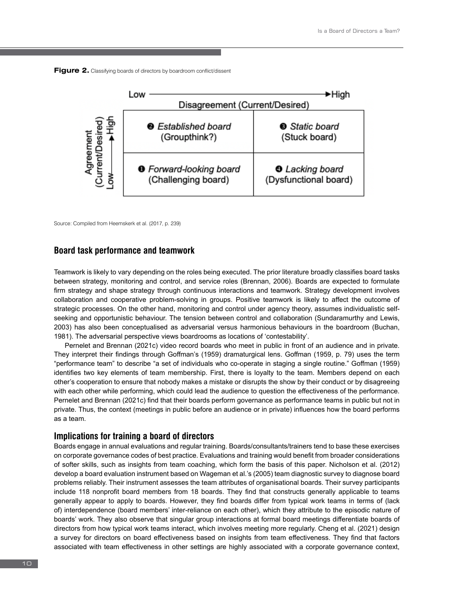



Source: Compiled from Heemskerk et al. (2017, p. 239)

### **Board task performance and teamwork**

Teamwork is likely to vary depending on the roles being executed. The prior literature broadly classifies board tasks between strategy, monitoring and control, and service roles (Brennan, 2006). Boards are expected to formulate firm strategy and shape strategy through continuous interactions and teamwork. Strategy development involves collaboration and cooperative problem-solving in groups. Positive teamwork is likely to affect the outcome of strategic processes. On the other hand, monitoring and control under agency theory, assumes individualistic selfseeking and opportunistic behaviour. The tension between control and collaboration (Sundaramurthy and Lewis, 2003) has also been conceptualised as adversarial versus harmonious behaviours in the boardroom (Buchan, 1981). The adversarial perspective views boardrooms as locations of 'contestability'.

Pernelet and Brennan (2021c) video record boards who meet in public in front of an audience and in private. They interpret their findings through Goffman's (1959) dramaturgical lens. Goffman (1959, p. 79) uses the term "performance team" to describe "a set of individuals who co-operate in staging a single routine." Goffman (1959) identifies two key elements of team membership. First, there is loyalty to the team. Members depend on each other's cooperation to ensure that nobody makes a mistake or disrupts the show by their conduct or by disagreeing with each other while performing, which could lead the audience to question the effectiveness of the performance. Pernelet and Brennan (2021c) find that their boards perform governance as performance teams in public but not in private. Thus, the context (meetings in public before an audience or in private) influences how the board performs as a team.

### **Implications for training a board of directors**

Boards engage in annual evaluations and regular training. Boards/consultants/trainers tend to base these exercises on corporate governance codes of best practice. Evaluations and training would benefit from broader considerations of softer skills, such as insights from team coaching, which form the basis of this paper. Nicholson et al. (2012) develop a board evaluation instrument based on Wageman et al.'s (2005) team diagnostic survey to diagnose board problems reliably. Their instrument assesses the team attributes of organisational boards. Their survey participants include 118 nonprofit board members from 18 boards. They find that constructs generally applicable to teams generally appear to apply to boards. However, they find boards differ from typical work teams in terms of (lack of) interdependence (board members' inter-reliance on each other), which they attribute to the episodic nature of boards' work. They also observe that singular group interactions at formal board meetings differentiate boards of directors from how typical work teams interact, which involves meeting more regularly. Cheng et al. (2021) design a survey for directors on board effectiveness based on insights from team effectiveness. They find that factors associated with team effectiveness in other settings are highly associated with a corporate governance context,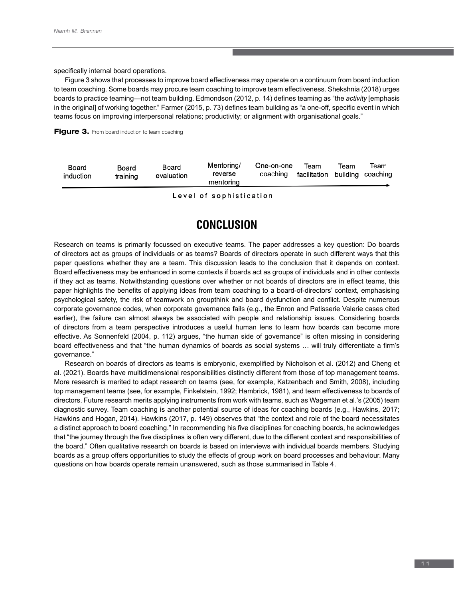specifically internal board operations.

Figure 3 shows that processes to improve board effectiveness may operate on a continuum from board induction to team coaching. Some boards may procure team coaching to improve team effectiveness. Shekshnia (2018) urges boards to practice teaming—not team building. Edmondson (2012, p. 14) defines teaming as "the *activity* [emphasis in the original] of working together." Farmer (2015, p. 73) defines team building as "a one-off, specific event in which teams focus on improving interpersonal relations; productivity; or alignment with organisational goals."



| Board<br>induction | Board<br>training | Board<br>evaluation | Mentoring/<br>reverse<br>mentoring | One-on-one<br>coaching | Team<br>facilitation building coaching | Team | Team |
|--------------------|-------------------|---------------------|------------------------------------|------------------------|----------------------------------------|------|------|
|                    |                   |                     |                                    |                        |                                        |      |      |

Level of sophistication

# **CONCLUSION**

Research on teams is primarily focussed on executive teams. The paper addresses a key question: Do boards of directors act as groups of individuals or as teams? Boards of directors operate in such different ways that this paper questions whether they are a team. This discussion leads to the conclusion that it depends on context. Board effectiveness may be enhanced in some contexts if boards act as groups of individuals and in other contexts if they act as teams. Notwithstanding questions over whether or not boards of directors are in effect teams, this paper highlights the benefits of applying ideas from team coaching to a board-of-directors' context, emphasising psychological safety, the risk of teamwork on groupthink and board dysfunction and conflict. Despite numerous corporate governance codes, when corporate governance fails (e.g., the Enron and Patisserie Valerie cases cited earlier), the failure can almost always be associated with people and relationship issues. Considering boards of directors from a team perspective introduces a useful human lens to learn how boards can become more effective. As Sonnenfeld (2004, p. 112) argues, "the human side of governance" is often missing in considering board effectiveness and that "the human dynamics of boards as social systems … will truly differentiate a firm's governance."

Research on boards of directors as teams is embryonic, exemplified by Nicholson et al. (2012) and Cheng et al. (2021). Boards have multidimensional responsibilities distinctly different from those of top management teams. More research is merited to adapt research on teams (see, for example, Katzenbach and Smith, 2008), including top management teams (see, for example, Finkelstein, 1992; Hambrick, 1981), and team effectiveness to boards of directors. Future research merits applying instruments from work with teams, such as Wageman et al.'s (2005) team diagnostic survey. Team coaching is another potential source of ideas for coaching boards (e.g., Hawkins, 2017; Hawkins and Hogan, 2014). Hawkins (2017, p. 149) observes that "the context and role of the board necessitates a distinct approach to board coaching." In recommending his five disciplines for coaching boards, he acknowledges that "the journey through the five disciplines is often very different, due to the different context and responsibilities of the board." Often qualitative research on boards is based on interviews with individual boards members. Studying boards as a group offers opportunities to study the effects of group work on board processes and behaviour. Many questions on how boards operate remain unanswered, such as those summarised in Table 4.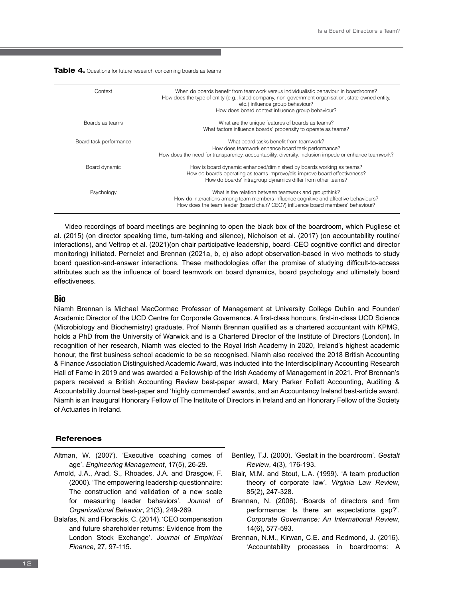| Table 4. Questions for future research concerning boards as teams |  |
|-------------------------------------------------------------------|--|
|-------------------------------------------------------------------|--|

| Context                | When do boards benefit from teamwork versus individualistic behaviour in boardrooms?<br>How does the type of entity (e.g., listed company, non-government organisation, state-owned entity,<br>etc.) influence group behaviour?<br>How does board context influence group behaviour? |
|------------------------|--------------------------------------------------------------------------------------------------------------------------------------------------------------------------------------------------------------------------------------------------------------------------------------|
| Boards as teams        | What are the unique features of boards as teams?<br>What factors influence boards' propensity to operate as teams?                                                                                                                                                                   |
| Board task performance | What board tasks benefit from teamwork?<br>How does teamwork enhance board task performance?<br>How does the need for transparency, accountability, diversity, inclusion impede or enhance teamwork?                                                                                 |
| Board dynamic          | How is board dynamic enhanced/diminished by boards working as teams?<br>How do boards operating as teams improve/dis-improve board effectiveness?<br>How do boards' intragroup dynamics differ from other teams?                                                                     |
| Psychology             | What is the relation between teamwork and groupthink?<br>How do interactions among team members influence cognitive and affective behaviours?<br>How does the team leader (board chair? CEO?) influence board members' behaviour?                                                    |

Video recordings of board meetings are beginning to open the black box of the boardroom, which Pugliese et al. (2015) (on director speaking time, turn-taking and silence), Nicholson et al. (2017) (on accountability routine/ interactions), and Veltrop et al. (2021)(on chair participative leadership, board–CEO cognitive conflict and director monitoring) initiated. Pernelet and Brennan (2021a, b, c) also adopt observation-based in vivo methods to study board question-and-answer interactions. These methodologies offer the promise of studying difficult-to-access attributes such as the influence of board teamwork on board dynamics, board psychology and ultimately board effectiveness.

### **Bio**

Niamh Brennan is Michael MacCormac Professor of Management at University College Dublin and Founder/ Academic Director of the UCD Centre for Corporate Governance. A first-class honours, first-in-class UCD Science (Microbiology and Biochemistry) graduate, Prof Niamh Brennan qualified as a chartered accountant with KPMG, holds a PhD from the University of Warwick and is a Chartered Director of the Institute of Directors (London). In recognition of her research, Niamh was elected to the Royal Irish Academy in 2020, Ireland's highest academic honour, the first business school academic to be so recognised. Niamh also received the 2018 British Accounting & Finance Association Distinguished Academic Award, was inducted into the Interdisciplinary Accounting Research Hall of Fame in 2019 and was awarded a Fellowship of the Irish Academy of Management in 2021. Prof Brennan's papers received a British Accounting Review best-paper award, Mary Parker Follett Accounting, Auditing & Accountability Journal best-paper and 'highly commended' awards, and an Accountancy Ireland best-article award. Niamh is an Inaugural Honorary Fellow of The Institute of Directors in Ireland and an Honorary Fellow of the Society of Actuaries in Ireland.

### **References**

- Altman, W. (2007). 'Executive coaching comes of age'. *Engineering Management*, 17(5), 26-29.
- Arnold, J.A., Arad, S., Rhoades, J.A. and Drasgow, F. (2000). 'The empowering leadership questionnaire: The construction and validation of a new scale for measuring leader behaviors'. *Journal of Organizational Behavior*, 21(3), 249-269.
- Balafas, N. and Florackis, C. (2014). 'CEO compensation and future shareholder returns: Evidence from the London Stock Exchange'. *Journal of Empirical Finance*, 27, 97-115.
- Bentley, T.J. (2000). 'Gestalt in the boardroom'. *Gestalt Review*, 4(3), 176-193.
- Blair, M.M. and Stout, L.A. (1999). 'A team production theory of corporate law'. *Virginia Law Review*, 85(2), 247-328.
- Brennan, N. (2006). 'Boards of directors and firm performance: Is there an expectations gap?'. *Corporate Governance: An International Review*, 14(6), 577-593.
- Brennan, N.M., Kirwan, C.E. and Redmond, J. (2016). 'Accountability processes in boardrooms: A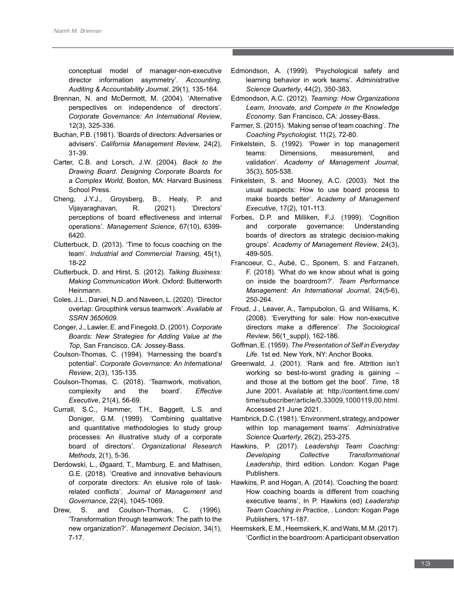conceptual model of manager-non-executive director information asymmetry'. *Accounting, Auditing & Accountability Journal*, 29(1), 135-164.

- Brennan, N. and McDermott, M. (2004). 'Alternative perspectives on independence of directors'. *Corporate Governance: An International Review*, 12(3), 325-336.
- Buchan, P.B. (1981). 'Boards of directors: Adversaries or advisers'. *California Management Review*, 24(2), 31-39.
- Carter, C.B. and Lorsch, J.W. (2004). *Back to the Drawing Board*. *Designing Corporate Boards for a Complex World,* Boston, MA: Harvard Business School Press.
- Cheng, J.Y.J., Groysberg, B., Healy, P. and Vijayaraghavan, R. (2021). 'Directors' perceptions of board effectiveness and internal operations'. *Management Science*, 67(10), 6399- 6420.
- Clutterbuck, D. (2013). 'Time to focus coaching on the team'. *Industrial and Commercial Training*, 45(1), 18-22
- Clutterbuck, D. and Hirst, S. (2012). *Talking Business: Making Communication Work*. Oxford: Butterworth Heinmann.
- Coles, J.L., Daniel, N.D. and Naveen, L. (2020). 'Director overlap: Groupthink versus teamwork'. *Available at SSRN 3650609*.
- Conger, J., Lawler, E. and Finegold, D. (2001). *Corporate Boards: New Strategies for Adding Value at the Top*, San Francisco, CA: Jossey-Bass.
- Coulson-Thomas, C. (1994). 'Harnessing the board's potential'. *Corporate Governance: An International Review*, 2(3), 135-135.
- Coulson-Thomas, C. (2018). 'Teamwork, motivation, complexity and the board'. *Effective Executive*, 21(4), 56-69.
- Currall, S.C., Hammer, T.H., Baggett, L.S. and Doniger, G.M. (1999). 'Combining qualitative and quantitative methodologies to study group processes: An illustrative study of a corporate board of directors'. *Organizational Research Methods*, 2(1), 5-36.
- Derdowski, L., Øgaard, T., Marnburg, E. and Mathisen, G.E. (2018). 'Creative and innovative behaviours of corporate directors: An elusive role of taskrelated conflicts'. *Journal of Management and Governance*, 22(4), 1045-1069.
- Drew, S. and Coulson-Thomas, C. (1996). 'Transformation through teamwork: The path to the new organization?'. *Management Decision*, 34(1), 7-17.
- Edmondson, A. (1999). 'Psychological safety and learning behavior in work teams'. *Administrative Science Quarterly*, 44(2), 350-383.
- Edmondson, A.C. (2012). *Teaming: How Organizations Learn, Innovate, and Compete in the Knowledge Economy*. San Francisco, CA: Jossey-Bass.
- Farmer, S. (2015). 'Making sense of team coaching'. *The Coaching Psychologist,* 11(2), 72-80.
- Finkelstein, S. (1992). 'Power in top management teams: Dimensions, measurement, and validation'. *Academy of Management Journal*, 35(3), 505-538.
- Finkelstein, S. and Mooney, A.C. (2003). 'Not the usual suspects: How to use board process to make boards better'. *Academy of Management Executive*, 17(2), 101-113.
- Forbes, D.P. and Milliken, F.J. (1999). 'Cognition and corporate governance: Understanding boards of directors as strategic decision-making groups'. *Academy of Management Review*, 24(3), 489-505.
- Francoeur, C., Aubé, C., Sponem, S. and Farzaneh, F. (2018). 'What do we know about what is going on inside the boardroom?'. *Team Performance Management: An International Journal*, 24(5-6), 250-264.
- Froud, J., Leaver, A., Tampubolon, G. and Williams, K. (2008). 'Everything for sale: How non-executive directors make a difference'. *The Sociological Review*, 56(1\_suppl), 162-186.
- Goffman, E. (1959). *The Presentation of Self in Everyday Life*. 1st ed. New York, NY: Anchor Books*.*
- Greenwald, J. (2001). 'Rank and fire. Attrition isn't working so best-to-worst grading is gaining – and those at the bottom get the boot'. *Time*, 18 June 2001. Available at: http://content.time.com/ time/subscriber/article/0,33009,1000119,00.html. Accessed 21 June 2021.
- Hambrick, D.C. (1981). 'Environment, strategy, and power within top management teams'. *Administrative Science Quarterly*, 26(2), 253-275.
- Hawkins, P. (2017). *Leadership Team Coaching: Developing Collective Transformational Leadership*, third edition. London: Kogan Page Publishers.
- Hawkins, P. and Hogan, A. (2014). 'Coaching the board: How coaching boards is different from coaching executive teams', In P. Hawkins (ed) *Leadership Team Coaching in Practice*, . London: Kogan Page Publishers, 171-187.
- Heemskerk, E.M., Heemskerk, K. and Wats, M.M. (2017). 'Conflict in the boardroom: A participant observation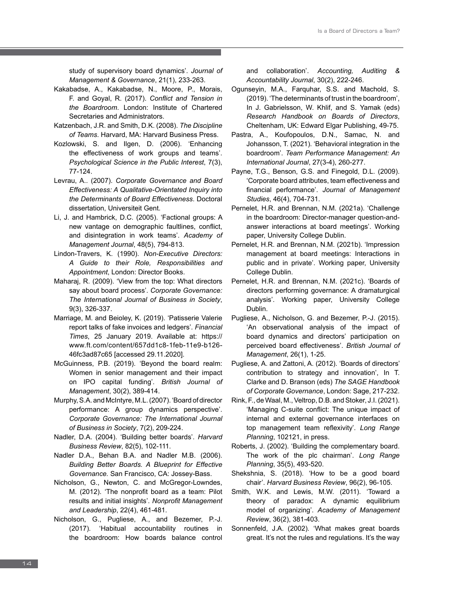study of supervisory board dynamics'. *Journal of Management & Governance*, 21(1), 233-263.

- Kakabadse, A., Kakabadse, N., Moore, P., Morais, F. and Goyal, R. (2017). *Conflict and Tension in the Boardroom*. London: Institute of Chartered Secretaries and Administrators.
- Katzenbach, J.R. and Smith, D.K. (2008). *The Discipline of Teams*. Harvard, MA: Harvard Business Press.
- Kozlowski, S. and Ilgen, D. (2006). 'Enhancing the effectiveness of work groups and teams'. *Psychological Science in the Public Interest*, 7(3), 77-124.
- Levrau, A.. (2007). *Corporate Governance and Board Effectiveness: A Qualitative-Orientated Inquiry into the Determinants of Board Effectiveness*. Doctoral dissertation, Universiteit Gent.
- Li, J. and Hambrick, D.C. (2005). 'Factional groups: A new vantage on demographic faultlines, conflict, and disintegration in work teams'. *Academy of Management Journal*, 48(5), 794-813.
- Lindon-Travers, K. (1990). *Non-Executive Directors: A Guide to their Role, Responsibilities and Appointment*, London: Director Books.
- Maharaj, R. (2009). 'View from the top: What directors say about board process'. *Corporate Governance: The International Journal of Business in Society*, 9(3), 326-337.
- Marriage, M. and Beioley, K. (2019). 'Patisserie Valerie report talks of fake invoices and ledgers'. *Financial Times*, 25 January 2019. Available at: https:// www.ft.com/content/657dd1c8-1feb-11e9-b126- 46fc3ad87c65 [accessed 29.11.2020].
- McGuinness, P.B. (2019). 'Beyond the board realm: Women in senior management and their impact on IPO capital funding'. *British Journal of Management*, 30(2), 389-414.
- Murphy, S.A. and McIntyre, M.L. (2007). 'Board of director performance: A group dynamics perspective'. *Corporate Governance: The International Journal of Business in Society*, 7(2), 209-224.
- Nadler, D.A. (2004). 'Building better boards'. *Harvard Business Review*, 82(5), 102-111.
- Nadler D.A., Behan B.A. and Nadler M.B. (2006). *Building Better Boards. A Blueprint for Effective Governance.* San Francisco, CA: Jossey-Bass.
- Nicholson, G., Newton, C. and McGregor-Lowndes, M. (2012). 'The nonprofit board as a team: Pilot results and initial insights'. *Nonprofit Management and Leadership*, 22(4), 461-481.
- Nicholson, G., Pugliese, A., and Bezemer, P.-J. (2017). 'Habitual accountability routines in the boardroom: How boards balance control

and collaboration'. *Accounting, Auditing & Accountability Journal*, 30(2), 222-246.

- Ogunseyin, M.A., Farquhar, S.S. and Machold, S. (2019). 'The determinants of trust in the boardroom', In J. Gabrielsson, W. Khlif, and S. Yamak (eds) *Research Handbook on Boards of Directors*, Cheltenham, UK: Edward Elgar Publishing, 49-75.
- Pastra, A., Koufopoulos, D.N., Samac, N. and Johansson, T. (2021). 'Behavioral integration in the boardroom'. *Team Performance Management: An International Journal*, 27(3-4), 260-277.
- Payne, T.G., Benson, G.S. and Finegold, D.L. (2009). 'Corporate board attributes, team effectiveness and financial performance'. *Journal of Management Studies*, 46(4), 704-731.
- Pernelet, H.R. and Brennan, N.M. (2021a). 'Challenge in the boardroom: Director-manager question-andanswer interactions at board meetings'. Working paper, University College Dublin.
- Pernelet, H.R. and Brennan, N.M. (2021b). 'Impression management at board meetings: Interactions in public and in private'. Working paper, University College Dublin.
- Pernelet, H.R. and Brennan, N.M. (2021c). 'Boards of directors performing governance: A dramaturgical analysis'. Working paper, University College Dublin.
- Pugliese, A., Nicholson, G. and Bezemer, P.-J. (2015). 'An observational analysis of the impact of board dynamics and directors' participation on perceived board effectiveness'. *British Journal of Management*, 26(1), 1-25.
- Pugliese, A. and Zattoni, A. (2012). 'Boards of directors' contribution to strategy and innovation', In T. Clarke and D. Branson (eds) *The SAGE Handbook of Corporate Governance*, London: Sage, 217-232.
- Rink, F., de Waal, M., Veltrop, D.B. and Stoker, J.I. (2021). 'Managing C-suite conflict: The unique impact of internal and external governance interfaces on top management team reflexivity'. *Long Range Planning*, 102121, in press.
- Roberts, J. (2002). 'Building the complementary board. The work of the plc chairman'. *Long Range Planning*, 35(5), 493-520.
- Shekshnia, S. (2018). 'How to be a good board chair'. *Harvard Business Review*, 96(2), 96-105.
- Smith, W.K. and Lewis, M.W. (2011). 'Toward a theory of paradox: A dynamic equilibrium model of organizing'. *Academy of Management Review*, 36(2), 381-403.
- Sonnenfeld, J.A. (2002). 'What makes great boards great. It's not the rules and regulations. It's the way